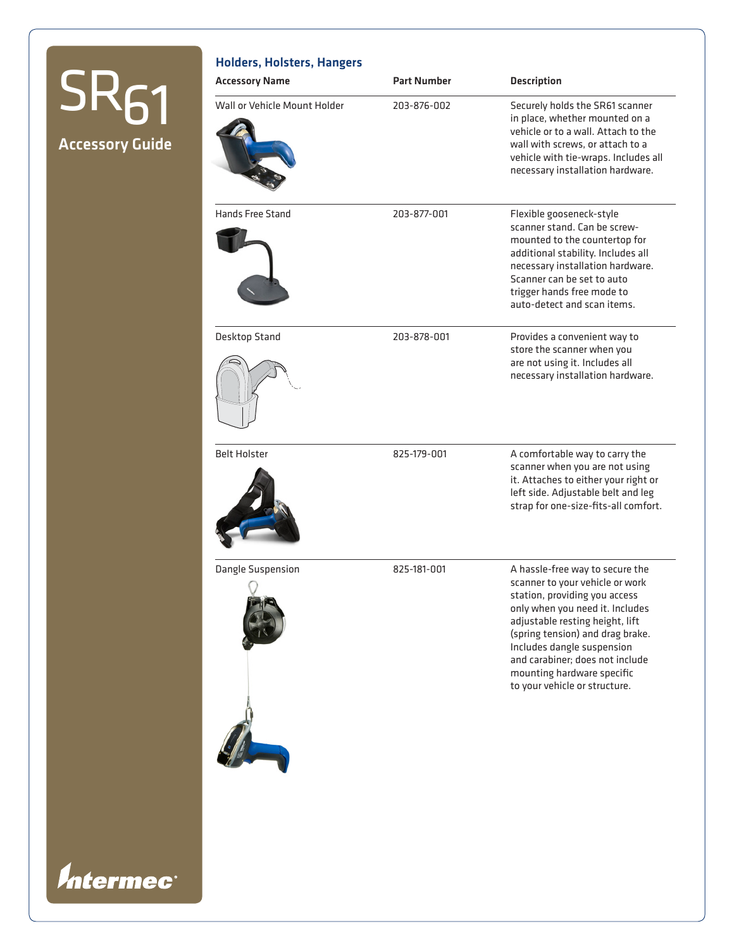# Accessory Guide  $SR<sub>61</sub>$

*Intermec®* 

### Holders, Holsters, Hangers

| <b>Accessory Name</b>        | <b>Part Number</b> | <b>Description</b>                                                                                                                                                                                                                                                                                                                            |
|------------------------------|--------------------|-----------------------------------------------------------------------------------------------------------------------------------------------------------------------------------------------------------------------------------------------------------------------------------------------------------------------------------------------|
| Wall or Vehicle Mount Holder | 203-876-002        | Securely holds the SR61 scanner<br>in place, whether mounted on a<br>vehicle or to a wall. Attach to the<br>wall with screws, or attach to a<br>vehicle with tie-wraps. Includes all<br>necessary installation hardware.                                                                                                                      |
| Hands Free Stand             | 203-877-001        | Flexible gooseneck-style<br>scanner stand. Can be screw-<br>mounted to the countertop for<br>additional stability. Includes all<br>necessary installation hardware.<br>Scanner can be set to auto<br>trigger hands free mode to<br>auto-detect and scan items.                                                                                |
| Desktop Stand                | 203-878-001        | Provides a convenient way to<br>store the scanner when you<br>are not using it. Includes all<br>necessary installation hardware.                                                                                                                                                                                                              |
| <b>Belt Holster</b>          | 825-179-001        | A comfortable way to carry the<br>scanner when you are not using<br>it. Attaches to either your right or<br>left side. Adjustable belt and leg<br>strap for one-size-fits-all comfort.                                                                                                                                                        |
| Dangle Suspension            | 825-181-001        | A hassle-free way to secure the<br>scanner to your vehicle or work<br>station, providing you access<br>only when you need it. Includes<br>adjustable resting height, lift<br>(spring tension) and drag brake.<br>Includes dangle suspension<br>and carabiner; does not include<br>mounting hardware specific<br>to your vehicle or structure. |
|                              |                    |                                                                                                                                                                                                                                                                                                                                               |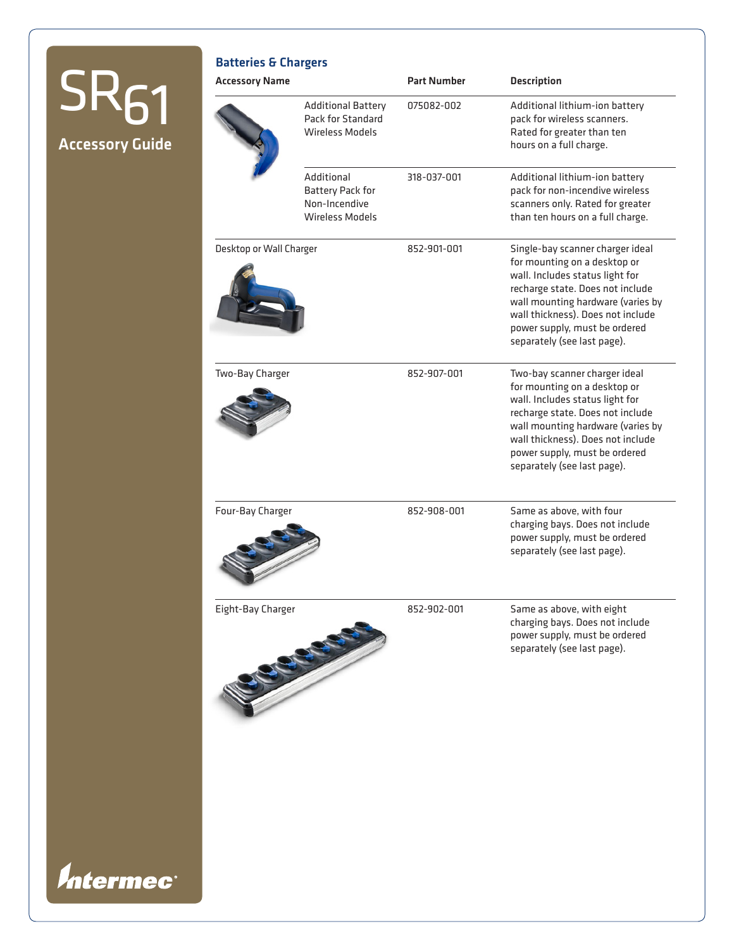## Accessory Guide  $SRS<sub>61</sub>$

*Intermec®* 

| <b>Additional Battery</b><br><b>Pack for Standard</b><br>Wireless Models<br>Additional<br>Battery Pack for | 075082-002  | Additional lithium-ion battery<br>pack for wireless scanners.<br>Rated for greater than ten<br>hours on a full charge.                                                                                                                                                            |
|------------------------------------------------------------------------------------------------------------|-------------|-----------------------------------------------------------------------------------------------------------------------------------------------------------------------------------------------------------------------------------------------------------------------------------|
|                                                                                                            |             |                                                                                                                                                                                                                                                                                   |
| Non-Incendive<br><b>Wireless Models</b>                                                                    | 318-037-001 | Additional lithium-ion battery<br>pack for non-incendive wireless<br>scanners only. Rated for greater<br>than ten hours on a full charge.                                                                                                                                         |
| Desktop or Wall Charger                                                                                    | 852-901-001 | Single-bay scanner charger ideal<br>for mounting on a desktop or<br>wall. Includes status light for<br>recharge state. Does not include<br>wall mounting hardware (varies by<br>wall thickness). Does not include<br>power supply, must be ordered<br>separately (see last page). |
|                                                                                                            | 852-907-001 | Two-bay scanner charger ideal<br>for mounting on a desktop or<br>wall. Includes status light for<br>recharge state. Does not include<br>wall mounting hardware (varies by<br>wall thickness). Does not include<br>power supply, must be ordered<br>separately (see last page).    |
|                                                                                                            | 852-908-001 | Same as above, with four<br>charging bays. Does not include<br>power supply, must be ordered<br>separately (see last page).                                                                                                                                                       |
|                                                                                                            | 852-902-001 | Same as above, with eight<br>charging bays. Does not include<br>power supply, must be ordered<br>separately (see last page).                                                                                                                                                      |
|                                                                                                            |             |                                                                                                                                                                                                                                                                                   |
|                                                                                                            |             |                                                                                                                                                                                                                                                                                   |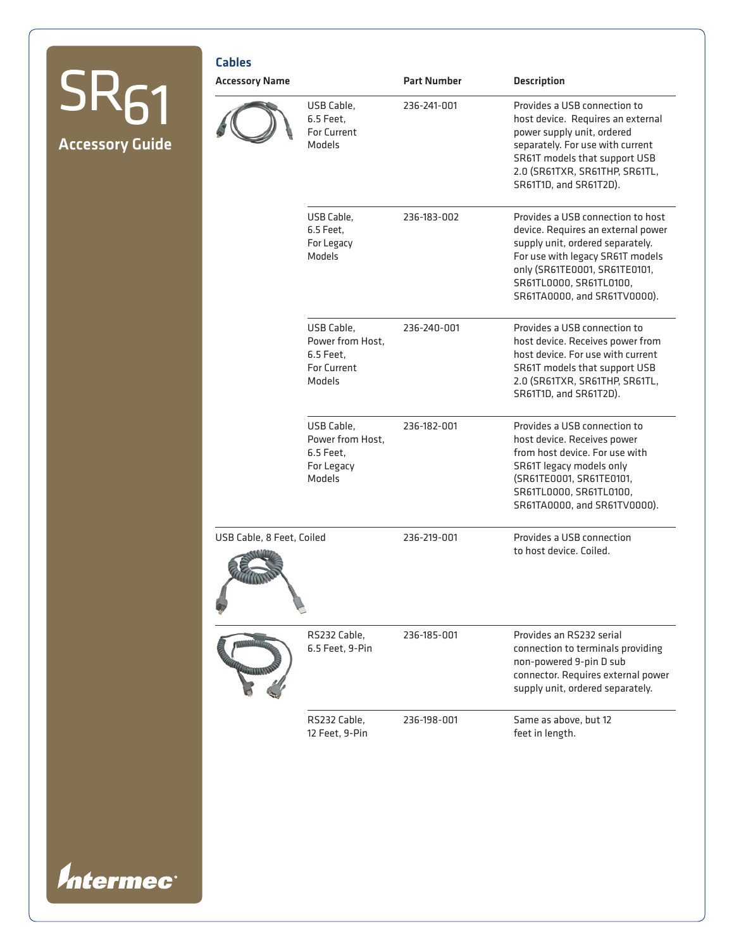|                                       | <b>Cables</b>             |                                                                             |                    |                                                                                                                                                                                                                                             |
|---------------------------------------|---------------------------|-----------------------------------------------------------------------------|--------------------|---------------------------------------------------------------------------------------------------------------------------------------------------------------------------------------------------------------------------------------------|
| <b>ΣΚΑ1</b><br><b>Accessory Guide</b> | <b>Accessory Name</b>     |                                                                             | <b>Part Number</b> | <b>Description</b>                                                                                                                                                                                                                          |
|                                       |                           | USB Cable,<br>6.5 Feet,<br>For Current<br>Models                            | 236-241-001        | Provides a USB connection to<br>host device. Requires an external<br>power supply unit, ordered<br>separately. For use with current<br>SR61T models that support USB<br>2.0 (SR61TXR, SR61THP, SR61TL,<br>SR61T1D, and SR61T2D).            |
|                                       |                           | USB Cable,<br>6.5 Feet,<br>For Legacy<br>Models                             | 236-183-002        | Provides a USB connection to host<br>device. Requires an external power<br>supply unit, ordered separately.<br>For use with legacy SR61T models<br>only (SR61TE0001, SR61TE0101,<br>SR61TL0000, SR61TL0100,<br>SR61TA0000, and SR61TV0000). |
|                                       |                           | USB Cable,<br>Power from Host,<br>6.5 Feet,<br><b>For Current</b><br>Models | 236-240-001        | Provides a USB connection to<br>host device. Receives power from<br>host device. For use with current<br>SR61T models that support USB<br>2.0 (SR61TXR, SR61THP, SR61TL,<br>SR61T1D, and SR61T2D).                                          |
|                                       |                           | USB Cable,<br>Power from Host,<br>6.5 Feet,<br>For Legacy<br>Models         | 236-182-001        | Provides a USB connection to<br>host device. Receives power<br>from host device. For use with<br>SR61T legacy models only<br>(SR61TE0001, SR61TE0101,<br>SR61TL0000, SR61TL0100,<br>SR61TA0000, and SR61TV0000).                            |
|                                       | USB Cable, 8 Feet, Coiled |                                                                             | 236-219-001        | Provides a USB connection<br>to host device. Coiled.                                                                                                                                                                                        |
|                                       |                           | RS232 Cable,<br>6.5 Feet, 9-Pin                                             | 236-185-001        | Provides an RS232 serial<br>connection to terminals providing<br>non-powered 9-pin D sub<br>connector. Requires external power<br>supply unit, ordered separately.                                                                          |
|                                       |                           | RS232 Cable,<br>12 Feet, 9-Pin                                              | 236-198-001        | Same as above, but 12<br>feet in length.                                                                                                                                                                                                    |
|                                       |                           |                                                                             |                    |                                                                                                                                                                                                                                             |
| Intermec®                             |                           |                                                                             |                    |                                                                                                                                                                                                                                             |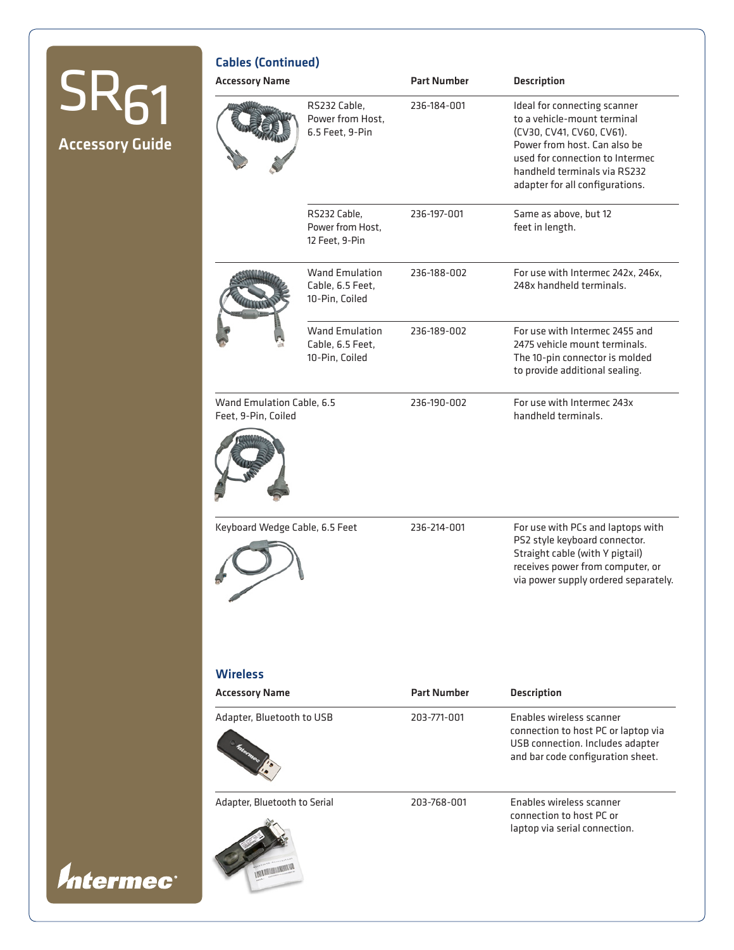|                                       | <b>Cables (Continued)</b>                        |                                                             |                    |                                                                                                                                                                                                                                |
|---------------------------------------|--------------------------------------------------|-------------------------------------------------------------|--------------------|--------------------------------------------------------------------------------------------------------------------------------------------------------------------------------------------------------------------------------|
|                                       | <b>Accessory Name</b>                            |                                                             | <b>Part Number</b> | <b>Description</b>                                                                                                                                                                                                             |
| <b>SK61</b><br><b>Accessory Guide</b> |                                                  | RS232 Cable,<br>Power from Host,<br>6.5 Feet, 9-Pin         | 236-184-001        | Ideal for connecting scanner<br>to a vehicle-mount terminal<br>(CV30, CV41, CV60, CV61).<br>Power from host. Can also be<br>used for connection to Intermec<br>handheld terminals via RS232<br>adapter for all configurations. |
|                                       |                                                  | RS232 Cable,<br>Power from Host,<br>12 Feet, 9-Pin          | 236-197-001        | Same as above, but 12<br>feet in length.                                                                                                                                                                                       |
|                                       |                                                  | <b>Wand Emulation</b><br>Cable, 6.5 Feet,<br>10-Pin, Coiled | 236-188-002        | For use with Intermec 242x, 246x,<br>248x handheld terminals.                                                                                                                                                                  |
|                                       |                                                  | <b>Wand Emulation</b><br>Cable, 6.5 Feet,<br>10-Pin, Coiled | 236-189-002        | For use with Intermec 2455 and<br>2475 vehicle mount terminals.<br>The 10-pin connector is molded<br>to provide additional sealing.                                                                                            |
|                                       | Wand Emulation Cable, 6.5<br>Feet, 9-Pin, Coiled |                                                             | 236-190-002        | For use with Intermec 243x<br>handheld terminals.                                                                                                                                                                              |
|                                       | Keyboard Wedge Cable, 6.5 Feet                   |                                                             | 236-214-001        | For use with PCs and laptops with<br>PS2 style keyboard connector.<br>Straight cable (with Y pigtail)<br>receives power from computer, or<br>via power supply ordered separately.                                              |
|                                       | <b>Wireless</b>                                  |                                                             |                    |                                                                                                                                                                                                                                |
|                                       | <b>Accessory Name</b>                            |                                                             | <b>Part Number</b> | <b>Description</b>                                                                                                                                                                                                             |
|                                       | Adapter, Bluetooth to USB                        |                                                             | 203-771-001        | Enables wireless scanner<br>connection to host PC or laptop via<br>USB connection. Includes adapter<br>and bar code configuration sheet.                                                                                       |
| <i>Intermec®</i>                      | Adapter, Bluetooth to Serial                     |                                                             | 203-768-001        | Enables wireless scanner<br>connection to host PC or<br>laptop via serial connection.                                                                                                                                          |